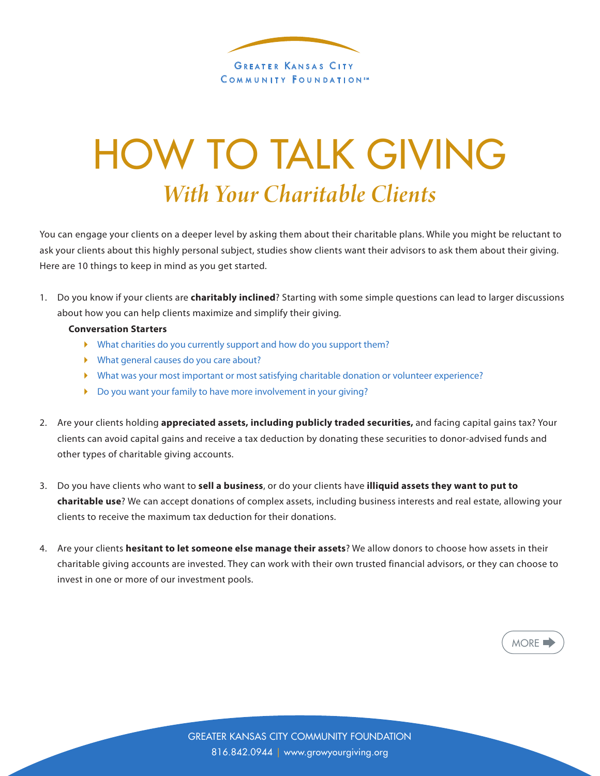

## HOW TO TALK GIVING *With Your Charitable Clients*

You can engage your clients on a deeper level by asking them about their charitable plans. While you might be reluctant to ask your clients about this highly personal subject, studies show clients want their advisors to ask them about their giving. Here are 10 things to keep in mind as you get started.

1. Do you know if your clients are **charitably inclined**? Starting with some simple questions can lead to larger discussions about how you can help clients maximize and simplify their giving.

## **Conversation Starters**

- } What charities do you currently support and how do you support them?
- } What general causes do you care about?
- } What was your most important or most satisfying charitable donation or volunteer experience?
- } Do you want your family to have more involvement in your giving?
- 2. Are your clients holding **appreciated assets, including publicly traded securities,** and facing capital gains tax? Your clients can avoid capital gains and receive a tax deduction by donating these securities to donor-advised funds and other types of charitable giving accounts.
- 3. Do you have clients who want to **sell a business**, or do your clients have **illiquid assets they want to put to charitable use**? We can accept donations of complex assets, including business interests and real estate, allowing your clients to receive the maximum tax deduction for their donations.
- 4. Are your clients **hesitant to let someone else manage their assets**? We allow donors to choose how assets in their charitable giving accounts are invested. They can work with their own trusted financial advisors, or they can choose to invest in one or more of our investment pools.